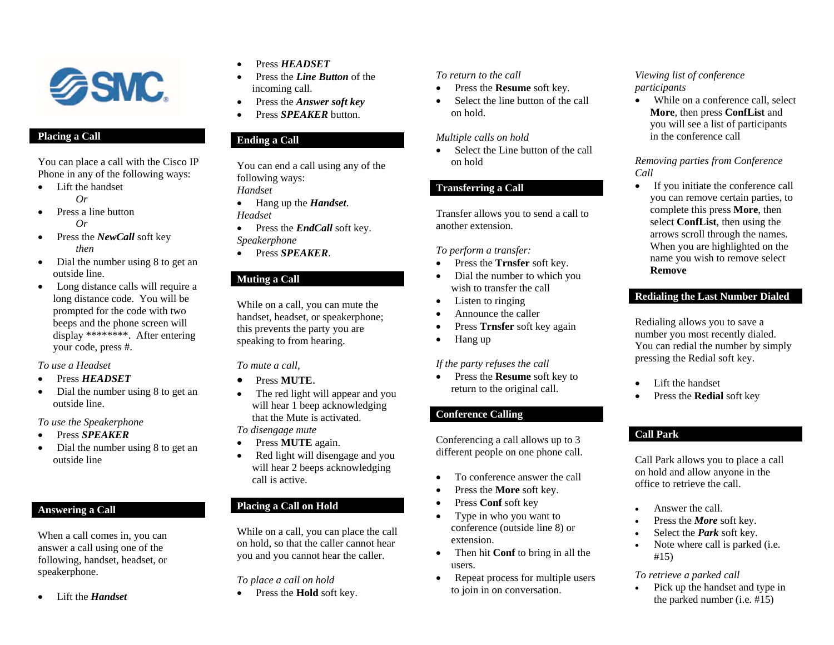

## **Placing a Call**

You can place a call with the Cisco IP Phone in any of the following ways:

- Lift the handset  $O_r$
- $\bullet$  Press a line button  $Q_r$
- $\bullet$  Press the *NewCall* soft key  *then*
- Dial the number using 8 to get an outside line.
- Long distance calls will require a long distance code. You will be prompted for the code with two beeps and the phone screen will display \*\*\*\*\*\*\*\*. After entering your code, press #.

*To use a Headset* 

- e Press *HEADSET*
- $\bullet$  Dial the number using 8 to get an outside line.

*To use the Speakerphone* 

- 0 Press *SPEAKER*
- e Dial the number using 8 to get an outside line

# **Answering a Call**

When a call comes in, you can answer a call using one of the following, handset, headset, or speakerphone.

 $\bullet$ Lift the *Handset* 

- $\bullet$ Press *HEADSET*
- c Press the *Line Button* of the incoming call.
- $\bullet$ Press the *Answer soft key*
- e Press *SPEAKER* button.

### **Ending a Call**

You can end a call using any of the following ways: *Handset* 

- Hang up the *Handset*. *Headset*
- $\bullet$  Press the *EndCall* soft key. *Speakerphone*
- Press *SPEAKER*.

# **Muting a Call**

While on a call, you can mute the handset, headset, or speakerphone; this prevents the party you are speaking to from hearing.

#### *To mute a call,*

- . Press **MUTE**.
- c The red light will appear and you will hear 1 beep acknowledging that the Mute is activated.*To disengage mute*
- c Press **MUTE** again.
- e Red light will disengage and you will hear 2 beeps acknowledging call is active.

# **Placing a Call on Hold**

While on a call, you can place the call on hold, so that the caller cannot hear you and you cannot hear the caller.

*To place a call on hold* 

• Press the **Hold** soft key.

### *To return to the call*

- $\bullet$ Press the **Resume** soft key.
- $\bullet$  Select the line button of the call on hold.

#### *Multiple calls on hold*

• Select the Line button of the call on hold

## **Transferring a Call**

Transfer allows you to send a call to another extension.

#### *To perform a transfer:*

- Press the **Trnsfer** soft key.
- Dial the number to which you wish to transfer the call
- Listen to ringing
- c Announce the caller
- Press **Trnsfer** soft key again
- $\bullet$ Hang up

#### *If the party refuses the call*

 $\bullet$  Press the **Resume** soft key to return to the original call.

## **Conference Calling**

Conferencing a call allows up to 3 different people on one phone call.

- $\bullet$ To conference answer the call
- c Press the **More** soft key.
- e Press **Conf** soft key
- 0 Type in who you want to conference (outside line 8) or extension.
- Then hit **Conf** to bring in all the users.
- 0 Repeat process for multiple users to join in on conversation.

### *Viewing list of conference participants*

• While on a conference call, select **More**, then press **ConfList** and you will see a list of participants in the conference call

#### *Removing parties from Conference Call*

 $\bullet$  If you initiate the conference call you can remove certain parties, to complete this press **More**, then select **ConfList**, then using the arrows scroll through the names. When you are highlighted on the name you wish to remove select **Remove**

## **Redialing the Last Number Dialed**

Redialing allows you to save a number you most recently dialed. You can redial the number by simply pressing the Redial soft key.

- Lift the handset
- c Press the **Redial** soft key

# **Call Park**

e

Call Park allows you to place a call on hold and allow anyone in the office to retrieve the call.

- Answer the call.
- c Press the *More* soft key.
- c Select the *Park* soft key.
- $\bullet$  Note where call is parked (i.e. #15)

## *To retrieve a parked call*

 $\bullet$  Pick up the handset and type in the parked number (i.e. #15)